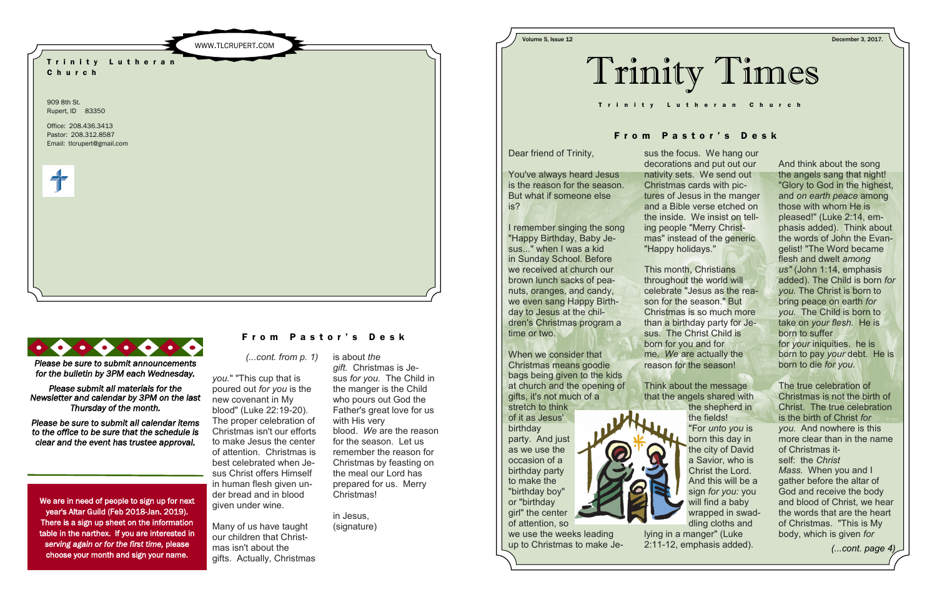is about *the gift.* Christmas is Jesus *for you.* The Child in the manger is the Child who pours out God the Father's great love for us with His very blood. *We* are the reason for the season. Let us remember the reason for Christmas by feasting on the meal our Lord has prepared for us. Merry Christmas!

in Jesus,

# From Pastor's Desk

(signature)

*(...cont. from p. 1)*

*you.*" "This cup that is poured out *for you* is the new covenant in My blood" (Luke 22:19-20). The proper celebration of Christmas isn't our efforts to make Jesus the center of attention. Christmas is best celebrated when Jesus Christ offers Himself in human flesh given under bread and in blood given under wine.

Many of us have taught our children that Christmas isn't about the gifts. Actually, Christmas





We are in need of people to sign up for next year's Altar Guild (Feb 2018-Jan. 2019). There is a sign up sheet on the information table in the narthex. If you are interested in *serving again or for the first time,* please choose your month and sign your name.

#### From Pastor's Desk

*Please be sure to submit announcements for the bulletin by 3PM each Wednesday.* 

*Please submit all materials for the Newsletter and calendar by 3PM on the last Thursday of the month.* 

*Please be sure to submit all calendar items to the office to be sure that the schedule is clear and the event has trustee approval.* 

And think about the song the angels sang that night! "Glory to God in the highest, and *on earth peace* among those with whom He is pleased!" (Luke 2:14, emphasis added). Think about the words of John the Evangelist! "The Word became flesh and dwelt *among us"* (John 1:14, emphasis added). The Child is born *for you.* The Christ is born to bring peace on earth *for you.* The Child is born to take on *your flesh.* He is born to suffer for *your* iniquities. he is born to pay *your* debt. He is born to die *for you.*

The true celebration of Christmas is not the birth of Christ. The true celebration is the birth of Christ *for you.* And nowhere is this more clear than in the name of Christmas itself: the *Christ Mass.* When you and I gather before the altar of God and receive the body and blood of Christ, we hear the words that are the heart of Christmas. "This is My body, which is given *for* 

*(...cont. page 4)*

Dear friend of Trinity,

You've always heard Jesus is the reason for the season. But what if someone else is?

I remember singing the song "Happy Birthday, Baby Jesus..." when I was a kid in Sunday School. Before we received at church our brown lunch sacks of peanuts, oranges, and candy, we even sang Happy Birthday to Jesus at the children's Christmas program a time or two.

When we consider that Christmas means goodie bags being given to the kids at church and the opening of gifts, it's not much of a stretch to think

of it as Jesus' birthday party. And just as we use the occasion of a birthday party to make the "birthday boy" or "birthday girl" the center of attention, so

we use the weeks leading up to Christmas to make Je-



sus the focus. We hang our decorations and put out our nativity sets. We send out Christmas cards with pictures of Jesus in the manger and a Bible verse etched on the inside. We insist on telling people "Merry Christmas" instead of the generic "Happy holidays."

This month, Christians throughout the world will celebrate "Jesus as the reason for the season." But Christmas is so much more than a birthday party for Jesus. The Christ Child is born for you and for me. *We* are actually the reason for the season!

Think about the message that the angels shared with the shepherd in the fields! "For *unto you* is born this day in the city of David a Savior, who is Christ the Lord. And this will be a sign *for you:* you will find a baby wrapped in swaddling cloths and lying in a manger" (Luke 2:11-12, emphasis added).



Volume 5, Issue 12 December 3, 2017.